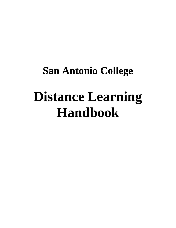# **San Antonio College Distance Learning Handbook**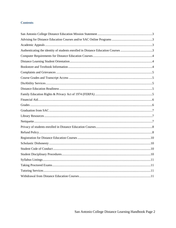## **Contents**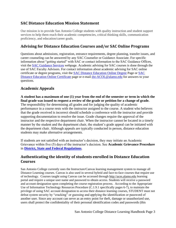# **SAC Distance Education Mission Statement**

Our mission is to provide San Antonio College students with quality instruction and student support services to help them reach their academic competencies, critical thinking skills, communication proficiency, and education/career goals.

# **Advising for Distance Education Courses and/or SAC Online Programs**

Questions about admissions, registration, entrance requirements, degree planning, transfer issues, and career counseling can be answered by any SAC Counselor or Guidance Associate. For specific information about "getting started" with SAC or contact information to the SAC Guidance Offices, visit the [SAC Guidance Services](http://alamo.edu/sac/counseling-advising/) webpage. Academic advising for SAC courses is done through the use of SAC Faculty Advisors. For contact information about academic advising for SAC online certificate or degree programs, visit the [SAC Distance Education Online Degree](http://alamo.edu/main.aspx?id=29386) Page or [SAC](http://alamo.edu/main.aspx?id=29387)  [Distance Education Online Certificate](http://alamo.edu/main.aspx?id=29387) page or e-mail [dst-ACOL@alamo.edu](mailto:dst-ACOL@alamo.edu) for answers to your questions.

# **Academic Appeals**

**A student has a maximum of one (1) year from the end of the semester or term in which the final grade was issued to request a review of the grade or petition for a change of grade.** The responsibility for determining all grades and for judging the quality of academic performance in a course rests with the instructor assigned to the course. A student who believes that the grade received is incorrect should schedule a conference with the instructor and provide supporting documentation to resolve the issue. Grade changes require the approval of the instructor and the respective department chair. When the instructor cannot be located in a timely manner by the student and the department chair, the student's grade appeal can be initiated with the department chair. Although appeals are typically conducted in person, distance education students may make alternative arrangements.

If students are not satisfied with an instructor's decision, they may initiate an Academic Grievance within five (5) days of the instructor's decision. See **Academic Grievance Procedure** in **[District, State and Federal Regulations](http://mysaccatalog.alamo.edu/content.php?catoid=97&navoid=3736)**.

## **Authenticating the identity of students enrolled in Distance Education Courses**

San Antonio College currently uses the Instructure/Canvas learning management system to manage all Distance Learning courses. Canvas is also used in several hybrid and face-to-face courses that require use of technology. Courses taught using Canvas can be accessed through [http://aces.alamo.edu](http://aces.alamo.edu/) learning portal and require a unique user name and password to obtain access. Students will receive a password and account designation upon completing the course registration process. According to the Appropriate Use of Information Technology Resources Procedure (C.1.9.1 specifically pages 6-7), to maintain the privilege of using SAC account designation to access their distance learning courses, STUDENT must not defeat system security by "cracking" or guessing and applying the identification or password of another user. Since any account can serve as an entry point for theft, damage or unauthorized use, users shall protect the confidentiality of their personal identification codes and passwords (this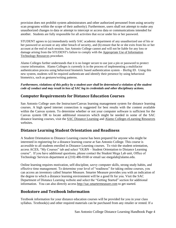provision does not prohibit system administrators and other authorized personnel from using security scan programs within the scope of their authority). Furthermore, users shall not attempt to make any unauthorized changes to data or attempt to intercept or access data or communications intended for another. Students are fully responsible for all activities that occur under his or her password.

STUDENT agrees to (a) immediately notify SAC academic department of any unauthorized use of his or her password or account or any other breach of security, and (b) ensure that he or she exits from his or her account at the end of each session. San Antonio College cannot and will not be liable for any loss or damage arising from the STUDENT's failure to comply with the [Appropriate Use of Information](http://legacy.alamo.edu/district/ethics/searchfiles/C.1.9.1-Procedure.pdf#search=)  [Technology Resources](http://legacy.alamo.edu/district/ethics/searchfiles/C.1.9.1-Procedure.pdf#search=) procedure.

Alamo Colleges further understands that it is no longer secure to use just a pin or password to protect course information. Alamo Colleges is currently is in the process of implementing a multifactor authentication process using behavioral biometric based authentication system – BioSig ID. Using this new system, students will be required authenticate and identify their presence by using behavioral biometrics, such as gestures/writing patterns.

*Furthermore, violations of this policy by a student user shall be determined a violation of the student code of conduct and may result in loss of SAC log in credentials and other disciplinary actions.*

## **Computer Requirements for Distance Education Courses**

San Antonio College uses the Instructure/Canvas learning management system for distance learning courses. A high speed internet connection is suggested for best results with the content available within the Canvas system. To determine whether or not your computer software is sufficient for the Canvas system OR to locate additional resources which might be needed in some of the SAC distance learning courses, visit the [SAC Distance Learning](http://www.alamo.edu/sac/DistanceLearning/) and [Alamo Colleges eLearning Resources](http://www.alamo.edu/district/eLearning/) websites.

## **Distance Learning Student Orientation and Readiness**

A Student Orientation to Distance Learning course has been prepared for anyone who might be interested in registering for a distance learning course at San Antonio College. This course is accessible to all students enrolled in Distance Learning courses. To visit the student orientation, access ACES, "My Courses" tab and select "OLRN – Student Orientation to Distance Learning course". If you have additional questions, please contact the Student Mega Lab unit, Office of Technology Services department at (210) 486-0160 or email sac-megalab@alamo.edu.

Online learning requires motivation, self-discipline, savvy computer skills, strong study habits, and effective time management. To determine your level of "readiness" for taking online courses, you can access an inventory called Smarter Measure. Smarter Measure provides you with an indication of the degree to which a distance learning environment will be a good fit for you. Visit the SAC Department of Distance Learning website and select the "Getting Started" section for additional information. You can also directly access [http://sac.smartermeasure.com](http://sac.smartermeasure.com/) to get started.

## **Bookstore and Textbook Information**

Textbook information for your distance education courses will be provided for you in your class syllabus. Textbook(s) and other required materials can be purchased from any retailer or rented. If a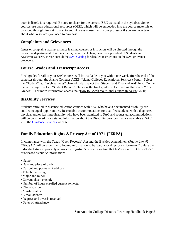book is listed, it is required. Be sure to check for the correct ISBN as listed in the syllabus. Some courses use open educational resources (OER), which will be embedded into the course materials or provided through links at no cost to you. Always consult with your professor if you are uncertain about what resources you need to purchase.

# **Complaints and Grievances**

Issues or complaints against distance learning courses or instructors will be directed through the respective departmental chain: instructor, department chair, dean, vice president of Students and Academic Success. Please consult the **SAC Catalog** for detailed instructions on the SAC grievance procedure.

## **Course Grades and Transcript Access**

Final grades for all of your SAC courses will be available to you within one week after the end of the semester through the Alamo Colleges ACES (Alamo Colleges Educational Services) Portal. Select the "Student" tab, "Web services" channel. Next select the "Student and Financial Aid" link. On the menu displayed, select "Student Record". To view the final grades, select the link that states "Final Grades". For more information access the ["How to Check Your Final Grades in ACES"](http://sacms.alamo.edu/Mediasite/Play/d45c601402744bd6a848fdfb6e9dcb541d?catalog=8add53ae-ac9b-46e9-be29-75ea4e73d570) eClip.

# **disAbility Services**

Students enrolled in distance education courses with SAC who have a documented disability are entitled to equal opportunities. Reasonable accommodations for qualified students with a diagnosed physical and/or learning disability who have been admitted to SAC and requested accommodations will be considered. For detailed information about the Disability Services that are available at SAC, visit the Guidance Services website.

# **Family Education Rights & Privacy Act of 1974 (FERPA)**

In compliance with the Texas "Open Records" Act and the Buckley Amendment (Public Law 93- 579), SAC will consider the following information to be "public or directory information" unless the individual student properly advises the registrar's office in writing that his/her name not be included or released as public information:

- Name
- Date and place of birth
- Current and permanent address
- Telephone listing
- Major and minor
- Current class schedule
- Number of hours enrolled current semester
- Classification
- Marital status
- E-mail address
- Degrees and awards received
- Dates of attendance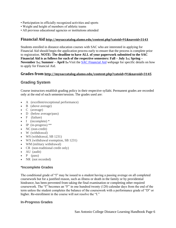- Participation in officially recognized activities and sports
- Weight and height of members of athletic teams
- All previous educational agencies or institutions attended

#### **Financial Aid <http://mysaccatalog.alamo.edu/content.php?catoid=91&navoid=3143>**

Students enrolled in distance education courses with SAC who are interested in applying for Financial Aid should begin the application process early to ensure that the process is complete prior to registration. **NOTE: The deadline to have ALL of your paperwork submitted to the SAC Financial Aid is as follows for each of the respective semesters: Fall – July 1st; Spring – November 1st; Summer – April 1st** Visit the [SAC Financial Aid](http://alamo.edu/district/financial-aid/web-directory/) webpage for specific details on how to apply for Financial Aid.

#### **Grades from <http://mysaccatalog.alamo.edu/content.php?catoid=91&navoid=3145>**

## **Grading System**

Course instructors establish grading policy in their respective syllabi. Permanent grades are recorded only at the end of each semester/session. The grades used are:

- A (excellent/exceptional performance)
- B (above average)
- C (average)
- D (below average/pass)
- $\bullet$   $\bullet$  (failure)
- $\bullet$  I (incomplete)  $*$
- $\bullet$  IP (in-progress) \*\*
- NC (non-credit)
- W (withdrawal)
- WS (withdrawal, SB 1231)
- WX (withdrawal exemption, SB 1231)
- WM (military withdrawal)
- CR (non-traditional credit only)
- AU (audit)
- $\bullet$  P (pass)
- NR (not recorded)

#### **\*Incomplete Grades**

The conditional grade of "I" may be issued to a student having a passing average on all completed coursework but for a justified reason, such as illness or death in the family or by providential hindrance, has been prevented from taking the final examination or completing other required coursework. The "I" becomes an "F" in one hundred twenty (120) calendar days from the end of the term unless the student completes the balance of the coursework with a performance grade of "D" or higher. Re-enrollment in the course will not resolve the "I."

#### **In-Progress Grades**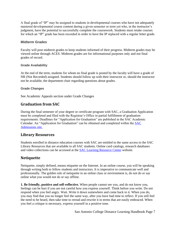A final grade of "IP" may be assigned to students in developmental courses who have not adequately mastered developmental course content during a given semester or term yet who, in the instructor's judgment, have the potential to successfully complete the coursework. Students must retake courses for which an "IP" grade has been recorded in order to have the IP replaced with a regular letter grade.

#### **Midterm Grades**

Faculty will post midterm grades to keep students informed of their progress. Midterm grades may be viewed online through [ACES.](https://aces.alamo.edu/cp/home/displaylogin) Midterm grades are for informational purposes only and not final grades of record.

#### **Grade Availability**

At the end of the term, students for whom no final grade is posted by the faculty will have a grade of NR (Not Recorded) assigned. Students should follow up with their instructor or, should the instructor not be available, the department chair regarding questions about grades.

#### **Grade Changes**

See Academic Appeals section under Grade Changes

# **Graduation from SAC**

During the final semester of your degree or certificate program with SAC, a Graduation Application must be completed and filed with the Registrar's Office in partial fulfillment of graduation requirements. Deadlines for "Application for Graduation" are published in the SAC Academic Calendar. An "Application for Graduation" can be obtained and completed within the [SAC](http://www.alamo.edu/sac/graduation/)  [Admissions site.](http://www.alamo.edu/sac/graduation/)

## **Library Resources**

Students enrolled in distance education courses with SAC are entitled to the same access to the SAC Library Resources that are available to all SAC students. Online card catalogs, research databases and video collections can be accessed at the [SAC Learning Resource Center](http://www.alamo.edu/sac/library/) website.

## **Netiquette**

Netiquette, simply defined, means etiquette on the Internet. In an online course, you will be speaking through writing both to fellow students and instructors. It is imperative to communicate well and professionally. The golden rule of netiquette in an online class or environment is, do not do or say online what you would not do or say offline.

**1. Be friendly, positive and self-reflective.** When people cannot see you, and do not know you, feelings can be hurt if you are not careful how you express yourself. Think before you write. Do not respond when you feel angry. Wait. Write it down somewhere and come back to it. When you do, you may find that you no longer feel the same way, after you have had time to reflect. If you still feel the need to be heard, then take time to reread and rewrite it in terms that are easily embraced. When you feel a critique is necessary, express yourself in a positive tone.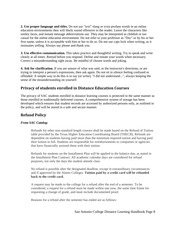**2. Use proper language and titles.** Do not use "text" slang or even profane words in an online education environments they will likely sound offensive to the reader. Leave the characters like smiley faces, and instant message abbreviations out. They may be interpreted as childish or too casual for the online education environment. Do not refer to your professor as "Doc" or by his or her first name, unless it is acceptable with him or her to do so. Do not use caps lock when writing, as it insinuates yelling. Always say please and thank you.

**3. Use effective communication.** This takes practice and thoughtful writing. Try to speak and write clearly at all times. Reread before you respond. Define and restate your words when necessary. Correct a misunderstanding right away. Be mindful of chosen words and joking.

**4. Ask for clarification.** If you are unsure of what was said, or the instructor's directions, or are trying to interpret a person's expressions, then ask again. Do not sit in silence feeling confused or offended. A simple way to do this is to say (or write), "I did not understand...", always keeping the sense of the misunderstanding on yourself.

# **Privacy of students enrolled in Distance Education Courses**

The privacy of SAC students enrolled in distance learning courses is protected in the same manner as those enrolled in traditionally delivered courses. A comprehensive system of storage has been developed which ensures that student records are accessed by authorized persons only, as outlined in the policy, and will be stored in a safe and secure manner.

# **Refund Policy**

#### *From SAC Catalog:*

Refunds for other non-standard length courses shall be made based on the Refund of Tuition table provided by the Texas Higher Education Coordinating Board (THECB). Refunds are dependent on students having paid more than the minimum required tuition and having paid their tuition in full. Students are responsible for reimbursements to companies or agencies that have financially assisted them with their tuition.

Refunds for students on the Installment Plan will be applied to the balance due, as stated in the Installment Plan Contract. All academic calendar days are considered for refund purposes, not only the days the student attends class.

No refund is possible after the designated deadline, except in extraordinary circumstances and if approved by the Alamo Colleges. **Tuition paid by a credit card will be refunded back to the credit card.**

A request may be made to the college for a refund after the end of a semester. To be considered, a request for a refund must be made within one year, the same time frame for requesting a change of grade, and must include documented proof.

Reasons for a refund after the semester has ended are as follows: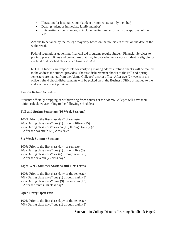- Illness and/or hospitalization (student or immediate family member)
- Death (student or immediate family member)
- Extenuating circumstances, to include institutional error, with the approval of the VPSS

Actions to be taken by the college may vary based on the policies in effect on the date of the withdrawal.

Federal regulations governing financial aid programs require Student Financial Services to put into place policies and procedures that may impact whether or not a student is eligible for a refund as described above. (See **[Financial Aid](http://mysaccatalog.alamo.edu/content.php?catoid=91&navoid=3143)**)

**NOTE:** Students are responsible for verifying mailing address; refund checks will be mailed to the address the student provides. The first disbursement checks of the Fall and Spring semesters are mailed from the Alamo Colleges' district office. After two (2) weeks in the office, refund check disbursements will be picked up in the Business Office or mailed to the address the student provides.

#### **Tuition Refund Schedule**

Students officially dropping or withdrawing from courses at the Alamo Colleges will have their tuition calculated according to the following schedules:

#### **Fall and Spring Semesters (16 Week Sessions)**

100% Prior to the first class day\* of semester 70% During class days\* one (1) through fifteen (15) 25% During class days\* sixteen (16) through twenty (20) 0 After the twentieth (20) class day\*

#### **Six Week Summer Sessions**

100% Prior to the first class day\* of semester 70% During class days\* one (1) through five (5) 25% During class days\* six (6) through seven (7) 0 After the seventh (7) class day\*

#### **Eight Week Summer Sessions and Flex Terms**

100% Prior to the first class day**\*** of the semester 70% During class days**\*** one (1) through eight (8) 25% During class days**\*** nine (9) through ten (10) 0 After the tenth (10) class day**\***

## **Open Entry/Open Exit**

100% Prior to the first class day**\*** of the semester 70% During class days**\*** one (1) through eight (8)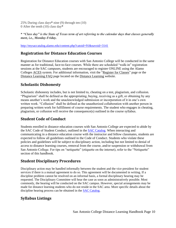25% During class days**\*** nine (9) through ten (10) 0 After the tenth (10) class day**\***

**\*** *"Class day" is the State of Texas term of art referring to the calendar days that classes generally meet, i.e., Monday-Friday.*

<http://mysaccatalog.alamo.edu/content.php?catoid=91&navoid=3141>

## **Registration for Distance Education Courses**

Registration for Distance Education courses with San Antonio College will be conducted in the same manner as for traditional, face-to-face courses. While there are scheduled "walk-in" registration sessions at the SAC campuses, students are encouraged to register ONLINE using the Alamo Colleges [ACES](http://aces.alamo.edu/) system. For additional information, visit the ["Register for Classes"](http://www.alamo.edu/sac-register-for-classes.aspx) page or the [Distance Learning FAQ](http://www.alamo.edu/mainwide.aspx?id=7888) page located on the [Distance Learning](http://www.alamo.edu/sac/DistanceLearning/) website.

# **Scholastic Dishonesty**

Scholastic dishonesty includes, but is not limited to, cheating on a test, plagiarism, and collusion. "Plagiarism" shall be defined as the appropriating, buying, receiving as a gift, or obtaining by any means another's work and the unacknowledged submission or incorporation of it in one's own written work. "Collusion" shall be defined as the unauthorized collaboration with another person in preparing written work for fulfillment of course requirements. The student who engages in cheating, plagiarism, or collusion will receive the consequence(s) outlined in the course syllabus.

# **Student Code of Conduct**

Students enrolled in distance education courses with San Antonio College are expected to abide by the SAC Code of Student Conduct, outlined in the [SAC Catalog.](http://mysaccatalog.alamo.edu/content.php?catoid=97&navoid=4160) When interacting and communicating in a distance education course with the instructor and fellow classmates, students are expected to follow all guidelines outlined in the Code of Conduct. Students who violate these policies and guidelines will be subject to disciplinary action, including but not limited to denial of access to distance learning courses, removal from the course, and/or suspension or withdrawal from San Antonio College. For tips on "netiquette" (etiquette on the internet), refer to the "Netiquette" section of this handbook.

# **Student Disciplinary Procedures**

Disciplinary action may be handled informally between the student and the vice president for student services if there is a mutual agreement to do so. This agreement will be documented in writing. If a discipline problem cannot be resolved on an informal basis, a formal disciplinary hearing may be requested. The Disciplinary Committee will hear the case as soon as administratively possible. Most commonly, the hearing will be conducted on the SAC campus. However, special arrangements may be made for distance learning students who do not reside in the SAC area. More specific details about the discipline hearing process can be obtained in the [SAC Catalog.](http://mysaccatalog.alamo.edu/)

# **Syllabus Listings**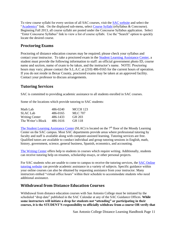To view course syllabi for every section of all SAC courses, visit the [SAC website](http://alamo.edu/sac/) and select the ["Academics"](http://alamo.edu/sac/academics/) link. On the displayed sub-menu, select [Course Syllabi](http://alamo.edu/sac/syllabus/) (eSyllabus & Concourse). Beginning Fall 2013, all course syllabi are posted under the Concourse Syllabus application. Select "Enter Concourse Syllabus" link to view a list of course syllabi. Use the "Search" option to quickly locate the desired course.

# **Proctoring Exams**

Proctoring of distance education courses may be required; please check your syllabus and contact your instructor. To take a proctored exam in the [Student Learning Assistance Center,](http://alamo.edu/sac/slac/) a student must provide the following information to staff: an official government photo ID, course name and section, name of exam to be taken, and the instructor's name. NOTE: Proctoring hours may vary; please contact the S.L.A.C at (210) 486-0165 for the current hours of operation. If you do not reside in Bexar County, proctored exams may be taken at an approved facility. Contact your professor to discuss arrangements.

# **Tutoring Services**

SAC is committed to providing academic assistance to all students enrolled in SAC courses.

Some of the locations which provide tutoring to SAC students:

| Math Lab              | 486-0240 | <b>MCCH 123</b> |
|-----------------------|----------|-----------------|
| <b>SLAC</b> Lab       | 486-0165 | MLC 707         |
| <b>Writing Center</b> | 486-1433 | GH 203          |
| The Writer's Block    | 486-1616 | GH 118          |

[The Student Learning Assistance Center](http://alamo.edu/sac/slac/) (SLAC) is located on the 7<sup>th</sup> floor of the Moody Learning Center on the SAC campus. Most SAC departments provide areas where professional tutoring by faculty and staff is available along with computer-assisted learning. Tutoring services are free. Qualified tutors are available to conduct individual and group tutoring sessions in English, math, history, government, science, general business, Spanish, economics, and accounting.

[The Writing Center](http://www.alamo.edu/sac/wctr/) offers help to students in courses which require writing. Additionally, students can receive tutoring help on resumes, scholarship essays, or other personal projects.

For SAC students who are unable to come to campus to receive the tutoring services, the [SAC Online](http://alamo.edu/main.aspx?id=5652)  [tutoring website](http://alamo.edu/main.aspx?id=5652) can provide academic assistance in a variety of subjects. Specific guidance within your online courses can also be obtained by requesting assistance from your instructor. Many instructors embed "virtual office hours" within their schedule to accommodate students who need additional assistance.

## **Withdrawal from Distance Education Courses**

Withdrawal from distance education courses with San Antonio College must be initiated by the scheduled "drop date" published in the SAC Calendar at any of the SAC Guidance Offices. **While some instructors will initiate a drop for students not "attending" or participating in their courses, it is the STUDENT'S responsibility to officially withdraw from a course OR verify that**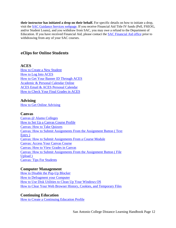**their instructor has initiated a drop on their behalf.** For specific details on how to initiate a drop, visit the [SAC Guidance Services webpage.](http://alamo.edu/sac/counseling-advising/) If you receive Financial Aid Title IV funds (Pell, FSEOG, and/or Student Loans), and you withdraw from SAC, you may owe a refund to the Department of Education. If you have received Financial Aid, please contact the [SAC Financial Aid office](http://alamo.edu/district/financial-aid/web-directory/) prior to withdrawing from any of your SAC courses.

# **eClips for Online Students**

## **ACES**

[How to Create a New Student](http://sacms.alamo.edu/Mediasite/Play/6db1c7930f634d029c83e3174a4849e41d?catalog=8add53ae-ac9b-46e9-be29-75ea4e73d570) [How to Log Into ACES](http://sacms.alamo.edu/Mediasite/Play/319c293e1b1e4435a28d6416b5c6903b1d?catalog=8add53ae-ac9b-46e9-be29-75ea4e73d570) [How to Get Your Banner ID Through ACES](http://sacms.alamo.edu/Mediasite/Play/a020a0d2c2184c05a75abbd7563d6feb1d?catalog=8add53ae-ac9b-46e9-be29-75ea4e73d570) [Academic & Personal Calendar Online](http://sacms.alamo.edu/Mediasite/Play/b8ff6d57fcc04c6384d8ee295bd1aace1d?catalog=8add53ae-ac9b-46e9-be29-75ea4e73d570) [ACES Email & ACES Personal Calendar](http://sacms.alamo.edu/Mediasite/Play/89cac5212a9a4d25a24c191febd1cb351d?catalog=8add53ae-ac9b-46e9-be29-75ea4e73d570) [How to Check Your Final Grades in ACES](http://sacms.alamo.edu/Mediasite/Play/d45c601402744bd6a848fdfb6e9dcb541d?catalog=8add53ae-ac9b-46e9-be29-75ea4e73d570)

## **Advising**

[How to Get Online Advising](http://sacms.alamo.edu/Mediasite/Play/05cb3be210324fad80e64bf3b026789a1d?catalog=8add53ae-ac9b-46e9-be29-75ea4e73d570)

#### **Canvas**

[Canvas @ Alamo Colleges](http://sacms.alamo.edu/Mediasite/Play/d521abe1ed6e4aaaa58f4fa445d052211d?catalog=8add53ae-ac9b-46e9-be29-75ea4e73d570) [How to Set Up a Canvas Course Profile](http://sacms.alamo.edu/Mediasite/Play/ba60d8478861429982f62afbae80e2331d?catalog=8add53ae-ac9b-46e9-be29-75ea4e73d570) [Canvas: How to Take Quizzes](http://sacms.alamo.edu/Mediasite/Play/e865b96a951746528290e80361374c351d?catalog=8add53ae-ac9b-46e9-be29-75ea4e73d570) [Canvas: How to Submit Assignments From the Assignment Button \( Text](http://sacms.alamo.edu/Mediasite/Play/f7777709a4784728b8afc6bf6c41048c1d?catalog=8add53ae-ac9b-46e9-be29-75ea4e73d570)  [Entry \)](http://sacms.alamo.edu/Mediasite/Play/f7777709a4784728b8afc6bf6c41048c1d?catalog=8add53ae-ac9b-46e9-be29-75ea4e73d570) [Canvas: How to Submit Assignments From a Course Module](http://sacms.alamo.edu/Mediasite/Play/1333510213344e2388ad7736a0efbe121d?catalog=8add53ae-ac9b-46e9-be29-75ea4e73d570) [Canvas: Access Your Canvas Course](http://sacms.alamo.edu/Mediasite/Play/8f803be5a27849c78176fecf2f4aec971d?catalog=8add53ae-ac9b-46e9-be29-75ea4e73d570) [Canvas: How to View Grades in Canvas](http://sacms.alamo.edu/Mediasite/Play/8452f88208ef499eb50efed089ac5a0b1d?catalog=8add53ae-ac9b-46e9-be29-75ea4e73d570) [Canvas: How to Submit Assignments From the Assignment Button \( File](http://sacms.alamo.edu/Mediasite/Play/714358f8a9de413180d468eeec12f3831d?catalog=8add53ae-ac9b-46e9-be29-75ea4e73d570)  [Upload \)](http://sacms.alamo.edu/Mediasite/Play/714358f8a9de413180d468eeec12f3831d?catalog=8add53ae-ac9b-46e9-be29-75ea4e73d570) [Canvas: Tips For Students](http://sacms.alamo.edu/Mediasite/Play/e5f10e871dd5459dab3b85675ba46baf1d?catalog=8add53ae-ac9b-46e9-be29-75ea4e73d570)

## **Computer Management**

[How to Disable the Pop-Up Blocker](http://sacms.alamo.edu/Mediasite/Play/6f6f9451904d439890baa0d580e9583e1d?catalog=8add53ae-ac9b-46e9-be29-75ea4e73d570) [How to Defragment your Computer](http://sacms.alamo.edu/Mediasite/Play/9ad6288d3509481c98369d5032b7b4fc1d?catalog=8add53ae-ac9b-46e9-be29-75ea4e73d570) [How to Use Disk Utilities to Clean Up Your Windows OS](http://sacms.alamo.edu/Mediasite/Play/a21f966a74854fe39b9a5a0baf3aeb9c1d?catalog=8add53ae-ac9b-46e9-be29-75ea4e73d570) [How to Clear Your Web Browser History, Cookies, and Temporary Files](http://sacms.alamo.edu/Mediasite/Play/621f888780c94091b0af9c7cbc4c72cf1d?catalog=8add53ae-ac9b-46e9-be29-75ea4e73d570)

## **Continuing Education**

[How to Create a Continuing Education Profile](http://sacms.alamo.edu/Mediasite/Play/2ba938feba0142d184d3cee476da01551d?catalog=8add53ae-ac9b-46e9-be29-75ea4e73d570)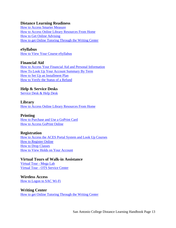## **Distance Learning Readiness**

[How to Access Smarter Measure](http://sacms.alamo.edu/Mediasite/Play/8e9ad9732ddc440fb5b1d828d9df0bbe1d?catalog=8add53ae-ac9b-46e9-be29-75ea4e73d570) [How to Access Online Library Resources From Home](http://sacms.alamo.edu/Mediasite/Play/f463474c91e74b229619367bd114fcf61d?catalog=8add53ae-ac9b-46e9-be29-75ea4e73d570) [How to Get Online Advising](http://sacms.alamo.edu/Mediasite/Play/05cb3be210324fad80e64bf3b026789a1d?catalog=8add53ae-ac9b-46e9-be29-75ea4e73d570) [How to get Online Tutoring Through the Writing Center](http://sacms.alamo.edu/Mediasite/Play/1500cd3a82ee408da066295f5f1155051d?catalog=8add53ae-ac9b-46e9-be29-75ea4e73d570)

## **eSyllabus**

[How to View Your Course eSyllabus](http://sacms.alamo.edu/Mediasite/Play/914c1f2e90d24eaa912e36fb86b441531d?catalog=8add53ae-ac9b-46e9-be29-75ea4e73d570)

## **Financial Aid**

[How to Access Your Financial Aid and Personal Information](http://sacms.alamo.edu/Mediasite/Play/053ca7a61fd745b888ea6f24bd3413d11d?catalog=8add53ae-ac9b-46e9-be29-75ea4e73d570) [How To Look Up Your Account Summary By Term](http://sacms.alamo.edu/Mediasite/Play/f1f1c3fa66bc49ad8141b1a4465adfc71d?catalog=8add53ae-ac9b-46e9-be29-75ea4e73d570) [How to Set Up an Installment Plan](http://sacms.alamo.edu/Mediasite/Play/41853bdc3f674143b5926632838797151d?catalog=8add53ae-ac9b-46e9-be29-75ea4e73d570) [How to Verify the Status of a Refund](http://sacms.alamo.edu/Mediasite/Play/917113cfc7414b6394047185f3db71c71d?catalog=8add53ae-ac9b-46e9-be29-75ea4e73d570)

## **Help & Service Desks**

[Service Desk & Help Desk](http://sacms.alamo.edu/Mediasite/Play/4e0ad837d05a419a87bf3ef99dc20ede1d?catalog=8add53ae-ac9b-46e9-be29-75ea4e73d570)

## **Library**

[How to Access Online Library Resources From Home](http://sacms.alamo.edu/Mediasite/Play/f463474c91e74b229619367bd114fcf61d?catalog=8add53ae-ac9b-46e9-be29-75ea4e73d570)

## **Printing**

[How to Purchase and Use a GoPrint Card](http://sacms.alamo.edu/Mediasite/Play/6d78b5113718484cb442a61d92b6a4b71d?catalog=8add53ae-ac9b-46e9-be29-75ea4e73d570) [How to Access GoPrint Online](http://sacms.alamo.edu/Mediasite/Play/d807f5c59a504f4489cb25db8c6cc8821d?catalog=8add53ae-ac9b-46e9-be29-75ea4e73d570)

## **Registration**

[How to Access the ACES Portal System and Look Up Courses](http://sacms.alamo.edu/Mediasite/Play/58978e7cd94544e6b0b4eb2d1eaff10b1d?catalog=8add53ae-ac9b-46e9-be29-75ea4e73d570) [How to Register Online](http://sacms.alamo.edu/Mediasite/Play/3dbe6800f21741cd805934ca020d77ff1d?catalog=8add53ae-ac9b-46e9-be29-75ea4e73d570) [How to Drop Classes](http://sacms.alamo.edu/Mediasite/Play/cbe66202a80a4146bc578806da5e0d7b1d?catalog=8add53ae-ac9b-46e9-be29-75ea4e73d570) [How to View Holds on Your Account](http://sacms.alamo.edu/Mediasite/Play/7358d359334a40b6991a05abe1f56a381d?catalog=8add53ae-ac9b-46e9-be29-75ea4e73d570)

**Virtual Tours of Walk-in Assistance** [Virtual Tour -](http://sacms.alamo.edu/Mediasite/Play/57f20c60fd6b49f08d927a6354eebef21d?catalog=8add53ae-ac9b-46e9-be29-75ea4e73d570) Mega Lab Virtual Tour - [OTS Service Center](http://sacms.alamo.edu/Mediasite/Play/0eaa37da2a314ffb994633511fb34ef81d?catalog=8add53ae-ac9b-46e9-be29-75ea4e73d570)

## **Wireless Access** [How to Logon to SAC Wi-Fi](http://sacms.alamo.edu/Mediasite/Play/23a8e187b38e4f9e818daafc8316d9161d?catalog=8add53ae-ac9b-46e9-be29-75ea4e73d570)

**Writing Center** [How to get Online Tutoring Through the Writing Center](http://sacms.alamo.edu/Mediasite/Play/1500cd3a82ee408da066295f5f1155051d?catalog=8add53ae-ac9b-46e9-be29-75ea4e73d570)